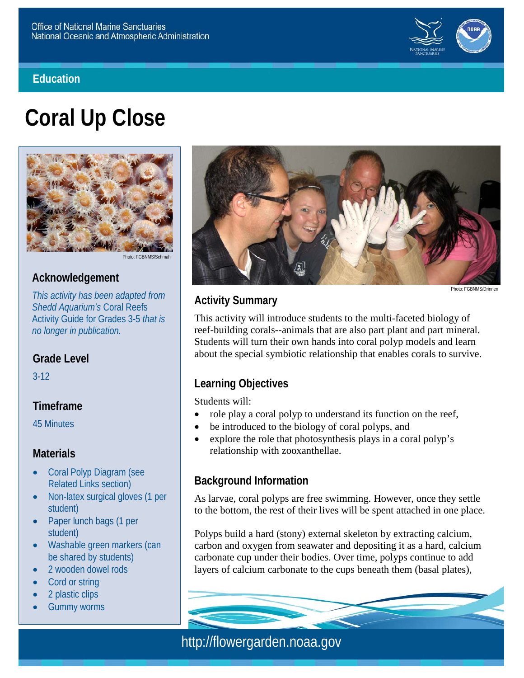#### **Education**



# **Coral Up Close**



Photo: FGBNMS/Schmah

## **Acknowledgement**

*This activity has been adapted from Shedd Aquarium's* Coral Reefs Activity Guide for Grades 3-5 *that is no longer in publication.*

#### **Grade Level**

3-12

## **Timeframe**

45 Minutes

#### **Materials**

- Coral Polyp Diagram (see Related Links section)
- Non-latex surgical gloves (1 per student)
- Paper lunch bags (1 per student)
- Washable green markers (can be shared by students)
- 2 wooden dowel rods
- **Cord or string**
- 2 plastic clips
- **Gummy worms**



Photo: FGBNMS/Drinne

# **Activity Summary**

This activity will introduce students to the multi-faceted biology of reef-building corals--animals that are also part plant and part mineral. Students will turn their own hands into coral polyp models and learn about the special symbiotic relationship that enables corals to survive.

# **Learning Objectives**

Students will:

- role play a coral polyp to understand its function on the reef,
- be introduced to the biology of coral polyps, and
- explore the role that photosynthesis plays in a coral polyp's relationship with zooxanthellae.

#### **Background Information**

As larvae, coral polyps are free swimming. However, once they settle to the bottom, the rest of their lives will be spent attached in one place.

Polyps build a hard (stony) external skeleton by extracting calcium, carbon and oxygen from seawater and depositing it as a hard, calcium carbonate cup under their bodies. Over time, polyps continue to add layers of calcium carbonate to the cups beneath them (basal plates),

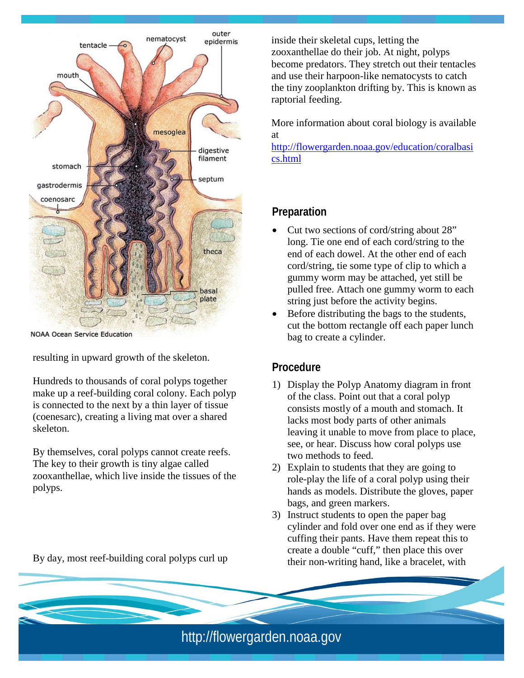

**NOAA Ocean Service Education** 

resulting in upward growth of the skeleton.

Hundreds to thousands of coral polyps together make up a reef-building coral colony. Each polyp is connected to the next by a thin layer of tissue (coenesarc), creating a living mat over a shared skeleton.

By themselves, coral polyps cannot create reefs. The key to their growth is tiny algae called zooxanthellae, which live inside the tissues of the polyps.

By day, most reef-building coral polyps curl up

inside their skeletal cups, letting the zooxanthellae do their job. At night, polyps become predators. They stretch out their tentacles and use their harpoon-like nematocysts to catch the tiny zooplankton drifting by. This is known as raptorial feeding.

More information about coral biology is available at

[http://flowergarden.noaa.gov/education/coralbasi](http://flowergarden.noaa.gov/education/coralbasics.html) [cs.html](http://flowergarden.noaa.gov/education/coralbasics.html)

#### **Preparation**

- Cut two sections of cord/string about 28" long. Tie one end of each cord/string to the end of each dowel. At the other end of each cord/string, tie some type of clip to which a gummy worm may be attached, yet still be pulled free. Attach one gummy worm to each string just before the activity begins.
- Before distributing the bags to the students, cut the bottom rectangle off each paper lunch bag to create a cylinder.

#### **Procedure**

- 1) Display the Polyp Anatomy diagram in front of the class. Point out that a coral polyp consists mostly of a mouth and stomach. It lacks most body parts of other animals leaving it unable to move from place to place, see, or hear. Discuss how coral polyps use two methods to feed.
- 2) Explain to students that they are going to role-play the life of a coral polyp using their hands as models. Distribute the gloves, paper bags, and green markers.
- 3) Instruct students to open the paper bag cylinder and fold over one end as if they were cuffing their pants. Have them repeat this to create a double "cuff," then place this over their non-writing hand, like a bracelet, with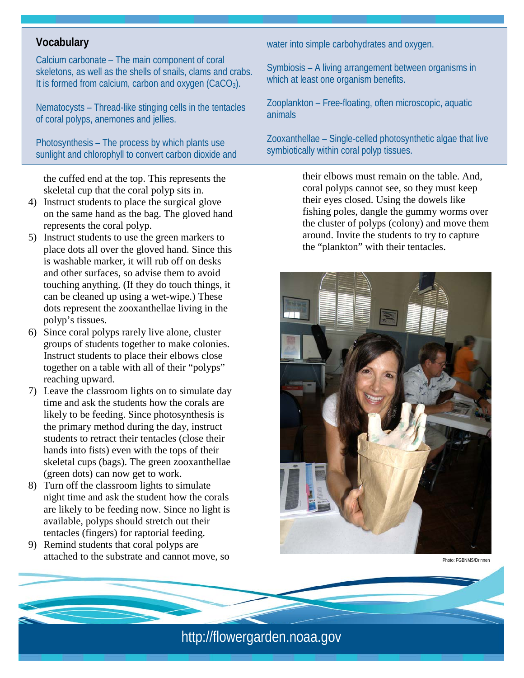## **Vocabulary**

Calcium carbonate – The main component of coral skeletons, as well as the shells of snails, clams and crabs. It is formed from calcium, carbon and oxygen  $(CaCO<sub>3</sub>)$ .

Nematocysts – Thread-like stinging cells in the tentacles of coral polyps, anemones and jellies.

Photosynthesis – The process by which plants use sunlight and chlorophyll to convert carbon dioxide and

the cuffed end at the top. This represents the skeletal cup that the coral polyp sits in.

- 4) Instruct students to place the surgical glove on the same hand as the bag. The gloved hand represents the coral polyp.
- 5) Instruct students to use the green markers to place dots all over the gloved hand. Since this is washable marker, it will rub off on desks and other surfaces, so advise them to avoid touching anything. (If they do touch things, it can be cleaned up using a wet-wipe.) These dots represent the zooxanthellae living in the polyp's tissues.
- 6) Since coral polyps rarely live alone, cluster groups of students together to make colonies. Instruct students to place their elbows close together on a table with all of their "polyps" reaching upward.
- 7) Leave the classroom lights on to simulate day time and ask the students how the corals are likely to be feeding. Since photosynthesis is the primary method during the day, instruct students to retract their tentacles (close their hands into fists) even with the tops of their skeletal cups (bags). The green zooxanthellae (green dots) can now get to work.
- 8) Turn off the classroom lights to simulate night time and ask the student how the corals are likely to be feeding now. Since no light is available, polyps should stretch out their tentacles (fingers) for raptorial feeding.
- 9) Remind students that coral polyps are attached to the substrate and cannot move, so

water into simple carbohydrates and oxygen.

Symbiosis – A living arrangement between organisms in which at least one organism benefits.

Zooplankton – Free-floating, often microscopic, aquatic animals

Zooxanthellae – Single-celled photosynthetic algae that live symbiotically within coral polyp tissues.

> their elbows must remain on the table. And, coral polyps cannot see, so they must keep their eyes closed. Using the dowels like fishing poles, dangle the gummy worms over the cluster of polyps (colony) and move them around. Invite the students to try to capture the "plankton" with their tentacles.



Photo: FGBNMS/Drinnen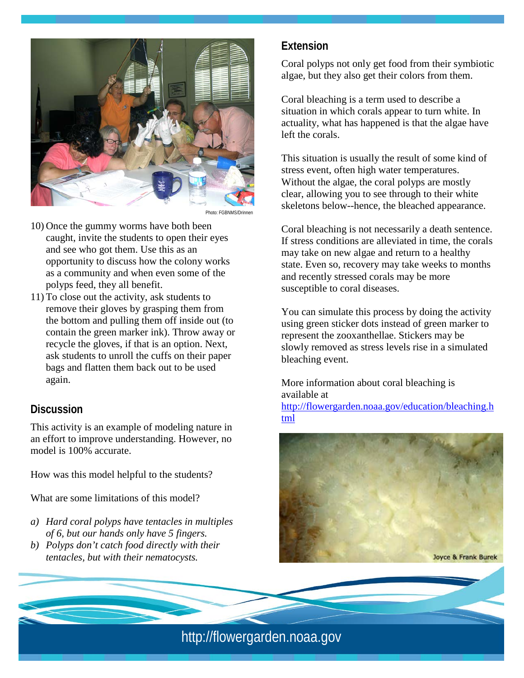

Photo: FGBNMS/D

- 10) Once the gummy worms have both been caught, invite the students to open their eyes and see who got them. Use this as an opportunity to discuss how the colony works as a community and when even some of the polyps feed, they all benefit.
- 11) To close out the activity, ask students to remove their gloves by grasping them from the bottom and pulling them off inside out (to contain the green marker ink). Throw away or recycle the gloves, if that is an option. Next, ask students to unroll the cuffs on their paper bags and flatten them back out to be used again.

#### **Discussion**

This activity is an example of modeling nature in an effort to improve understanding. However, no model is 100% accurate.

How was this model helpful to the students?

What are some limitations of this model?

- *a) Hard coral polyps have tentacles in multiples of 6, but our hands only have 5 fingers.*
- *b) Polyps don't catch food directly with their tentacles, but with their nematocysts.*

#### **Extension**

Coral polyps not only get food from their symbiotic algae, but they also get their colors from them.

Coral bleaching is a term used to describe a situation in which corals appear to turn white. In actuality, what has happened is that the algae have left the corals.

This situation is usually the result of some kind of stress event, often high water temperatures. Without the algae, the coral polyps are mostly clear, allowing you to see through to their white skeletons below--hence, the bleached appearance.

Coral bleaching is not necessarily a death sentence. If stress conditions are alleviated in time, the corals may take on new algae and return to a healthy state. Even so, recovery may take weeks to months and recently stressed corals may be more susceptible to coral diseases.

You can simulate this process by doing the activity using green sticker dots instead of green marker to represent the zooxanthellae. Stickers may be slowly removed as stress levels rise in a simulated bleaching event.

More information about coral bleaching is available at [http://flowergarden.noaa.gov/education/bleaching.h](http://flowergarden.noaa.gov/education/bleaching.html)

[tml](http://flowergarden.noaa.gov/education/bleaching.html)

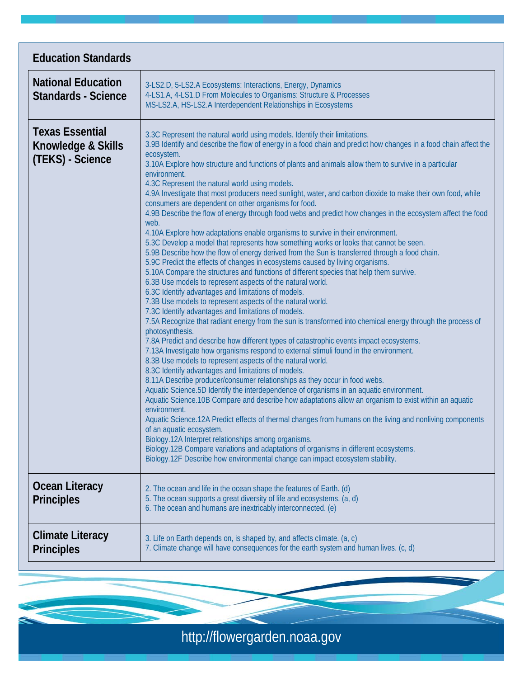| <b>Education Standards</b>                                       |                                                                                                                                                                                                                                                                                                                                                                                                                                                                                                                                                                                                                                                                                                                                                                                                                                                                                                                                                                                                                                                                                                                                                                                                                                                                                                                                                                                                                                                                                                                                                                                                                                                                                                                                                                                                                                                                                                                                                                                                                                                                                                                                                                                                                                                                                                                                                                                                                                                                                                                  |
|------------------------------------------------------------------|------------------------------------------------------------------------------------------------------------------------------------------------------------------------------------------------------------------------------------------------------------------------------------------------------------------------------------------------------------------------------------------------------------------------------------------------------------------------------------------------------------------------------------------------------------------------------------------------------------------------------------------------------------------------------------------------------------------------------------------------------------------------------------------------------------------------------------------------------------------------------------------------------------------------------------------------------------------------------------------------------------------------------------------------------------------------------------------------------------------------------------------------------------------------------------------------------------------------------------------------------------------------------------------------------------------------------------------------------------------------------------------------------------------------------------------------------------------------------------------------------------------------------------------------------------------------------------------------------------------------------------------------------------------------------------------------------------------------------------------------------------------------------------------------------------------------------------------------------------------------------------------------------------------------------------------------------------------------------------------------------------------------------------------------------------------------------------------------------------------------------------------------------------------------------------------------------------------------------------------------------------------------------------------------------------------------------------------------------------------------------------------------------------------------------------------------------------------------------------------------------------------|
| <b>National Education</b><br><b>Standards - Science</b>          | 3-LS2.D, 5-LS2.A Ecosystems: Interactions, Energy, Dynamics<br>4-LS1.A, 4-LS1.D From Molecules to Organisms: Structure & Processes<br>MS-LS2.A, HS-LS2.A Interdependent Relationships in Ecosystems                                                                                                                                                                                                                                                                                                                                                                                                                                                                                                                                                                                                                                                                                                                                                                                                                                                                                                                                                                                                                                                                                                                                                                                                                                                                                                                                                                                                                                                                                                                                                                                                                                                                                                                                                                                                                                                                                                                                                                                                                                                                                                                                                                                                                                                                                                              |
| <b>Texas Essential</b><br>Knowledge & Skills<br>(TEKS) - Science | 3.3C Represent the natural world using models. Identify their limitations.<br>3.9B Identify and describe the flow of energy in a food chain and predict how changes in a food chain affect the<br>ecosystem.<br>3.10A Explore how structure and functions of plants and animals allow them to survive in a particular<br>environment.<br>4.3C Represent the natural world using models.<br>4.9A Investigate that most producers need sunlight, water, and carbon dioxide to make their own food, while<br>consumers are dependent on other organisms for food.<br>4.9B Describe the flow of energy through food webs and predict how changes in the ecosystem affect the food<br>web.<br>4.10A Explore how adaptations enable organisms to survive in their environment.<br>5.3C Develop a model that represents how something works or looks that cannot be seen.<br>5.9B Describe how the flow of energy derived from the Sun is transferred through a food chain.<br>5.9C Predict the effects of changes in ecosystems caused by living organisms.<br>5.10A Compare the structures and functions of different species that help them survive.<br>6.3B Use models to represent aspects of the natural world.<br>6.3C Identify advantages and limitations of models.<br>7.3B Use models to represent aspects of the natural world.<br>7.3C Identify advantages and limitations of models.<br>7.5A Recognize that radiant energy from the sun is transformed into chemical energy through the process of<br>photosynthesis.<br>7.8A Predict and describe how different types of catastrophic events impact ecosystems.<br>7.13A Investigate how organisms respond to external stimuli found in the environment.<br>8.3B Use models to represent aspects of the natural world.<br>8.3C Identify advantages and limitations of models.<br>8.11A Describe producer/consumer relationships as they occur in food webs.<br>Aquatic Science.5D Identify the interdependence of organisms in an aquatic environment.<br>Aquatic Science.10B Compare and describe how adaptations allow an organism to exist within an aquatic<br>environment.<br>Aquatic Science.12A Predict effects of thermal changes from humans on the living and nonliving components<br>of an aquatic ecosystem.<br>Biology.12A Interpret relationships among organisms.<br>Biology.12B Compare variations and adaptations of organisms in different ecosystems.<br>Biology.12F Describe how environmental change can impact ecosystem stability. |
| Ocean Literacy<br><b>Principles</b>                              | 2. The ocean and life in the ocean shape the features of Earth. (d)<br>5. The ocean supports a great diversity of life and ecosystems. (a, d)<br>6. The ocean and humans are inextricably interconnected. (e)                                                                                                                                                                                                                                                                                                                                                                                                                                                                                                                                                                                                                                                                                                                                                                                                                                                                                                                                                                                                                                                                                                                                                                                                                                                                                                                                                                                                                                                                                                                                                                                                                                                                                                                                                                                                                                                                                                                                                                                                                                                                                                                                                                                                                                                                                                    |
| <b>Climate Literacy</b><br><b>Principles</b>                     | 3. Life on Earth depends on, is shaped by, and affects climate. (a, c)<br>7. Climate change will have consequences for the earth system and human lives. (c, d)                                                                                                                                                                                                                                                                                                                                                                                                                                                                                                                                                                                                                                                                                                                                                                                                                                                                                                                                                                                                                                                                                                                                                                                                                                                                                                                                                                                                                                                                                                                                                                                                                                                                                                                                                                                                                                                                                                                                                                                                                                                                                                                                                                                                                                                                                                                                                  |